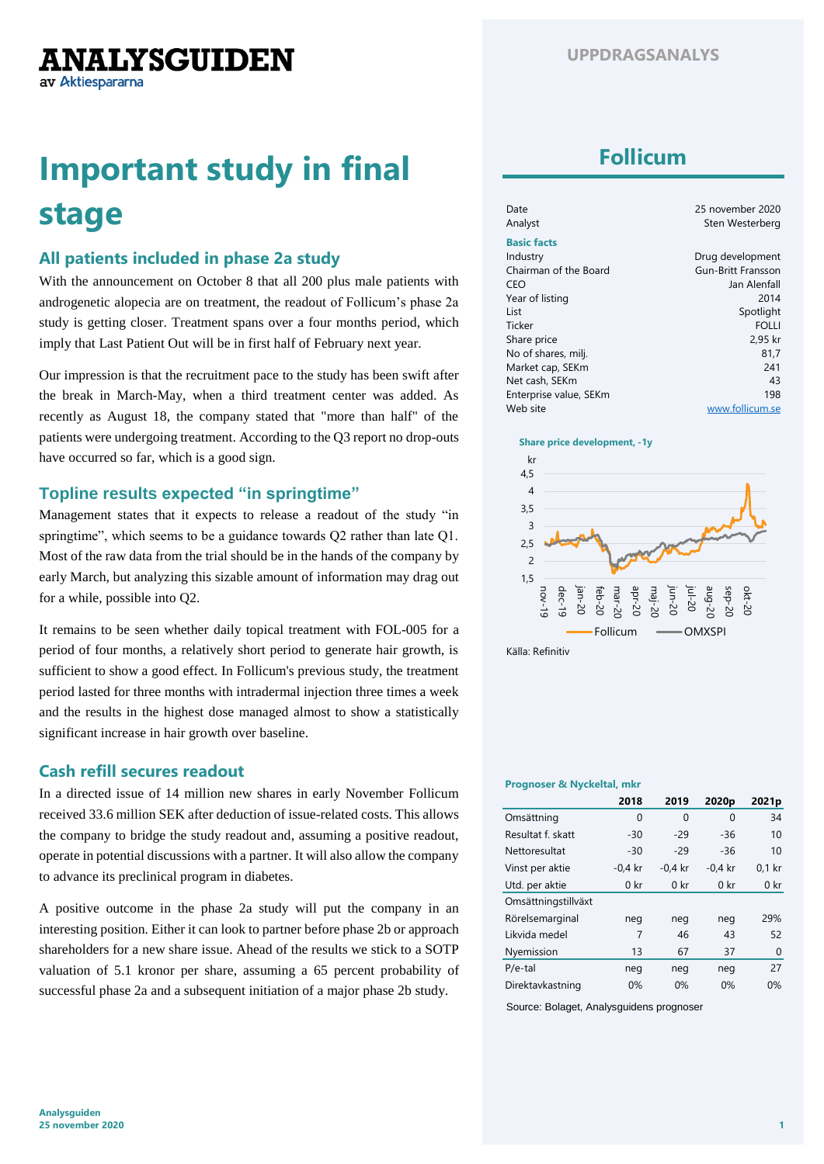**ANALYSGUIDEN** av Aktiespararna

# **Important study in final stage**

### **All patients included in phase 2a study**

With the announcement on October 8 that all 200 plus male patients with androgenetic alopecia are on treatment, the readout of Follicum's phase 2a study is getting closer. Treatment spans over a four months period, which imply that Last Patient Out will be in first half of February next year.

Our impression is that the recruitment pace to the study has been swift after the break in March-May, when a third treatment center was added. As recently as August 18, the company stated that "more than half" of the patients were undergoing treatment. According to the Q3 report no drop-outs have occurred so far, which is a good sign.

### **Topline results expected "in springtime"**

Management states that it expects to release a readout of the study "in springtime", which seems to be a guidance towards Q2 rather than late Q1. Most of the raw data from the trial should be in the hands of the company by early March, but analyzing this sizable amount of information may drag out for a while, possible into Q2.

It remains to be seen whether daily topical treatment with FOL-005 for a period of four months, a relatively short period to generate hair growth, is sufficient to show a good effect. In Follicum's previous study, the treatment period lasted for three months with intradermal injection three times a week and the results in the highest dose managed almost to show a statistically significant increase in hair growth over baseline.

### **Cash refill secures readout**

In a directed issue of 14 million new shares in early November Follicum received 33.6 million SEK after deduction of issue-related costs. This allows the company to bridge the study readout and, assuming a positive readout, operate in potential discussions with a partner. It will also allow the company to advance its preclinical program in diabetes.

A positive outcome in the phase 2a study will put the company in an interesting position. Either it can look to partner before phase 2b or approach shareholders for a new share issue. Ahead of the results we stick to a SOTP valuation of 5.1 kronor per share, assuming a 65 percent probability of successful phase 2a and a subsequent initiation of a major phase 2b study.

# **Follicum**

| Date<br>Analyst        | 25 november 2020<br>Sten Westerberg |
|------------------------|-------------------------------------|
| <b>Basic facts</b>     |                                     |
| Industry               | Drug development                    |
| Chairman of the Board  | Gun-Britt Fransson                  |
| CEO                    | Jan Alenfall                        |
| Year of listing        | 2014                                |
| List                   | Spotlight                           |
| Ticker                 | <b>FOLLI</b>                        |
| Share price            | 2.95 kr                             |
| No of shares, milj.    | 81.7                                |
| Market cap, SEKm       | 241                                 |
| Net cash, SEKm         | 43                                  |
| Enterprise value, SEKm | 198                                 |
| Web site               | www.follicum.se                     |

#### **Share price development, -1y**



Källa: Refinitiv

### **Prognoser & Nyckeltal, mkr**

|                     | 2018            | 2019            | 2020 <sub>p</sub> | 2021p           |
|---------------------|-----------------|-----------------|-------------------|-----------------|
| Omsättning          | 0               | 0               | 0                 | 34              |
| Resultat f. skatt   | $-30$           | $-29$           | $-36$             | 10              |
| Nettoresultat       | $-30$           | $-29$           | $-36$             | 10              |
| Vinst per aktie     | $-0.4$ kr       | $-0.4$ kr       | $-0.4$ kr         | $0.1$ kr        |
| Utd. per aktie      | 0 <sub>kr</sub> | 0 <sub>kr</sub> | 0 <sub>kr</sub>   | 0 <sub>kr</sub> |
| Omsättningstillväxt |                 |                 |                   |                 |
| Rörelsemarginal     | neg             | neg             | neg               | 29%             |
| Likvida medel       | 7               | 46              | 43                | 52              |
| Nyemission          | 13              | 67              | 37                | 0               |
| $P/e-tal$           | neg             | neg             | neg               | 27              |
| Direktavkastning    | 0%              | 0%              | 0%                | 0%              |

Source: Bolaget, Analysguidens prognoser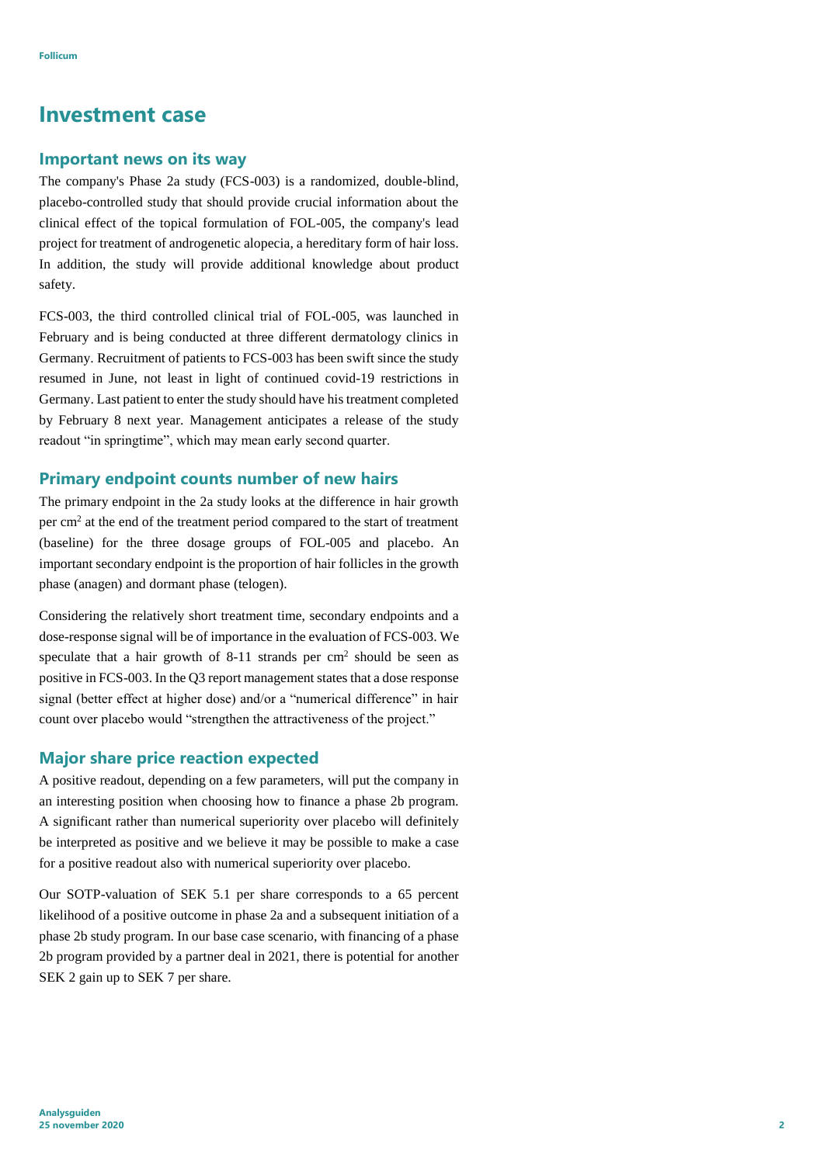### **Investment case**

### **Important news on its way**

The company's Phase 2a study (FCS-003) is a randomized, double-blind, placebo-controlled study that should provide crucial information about the clinical effect of the topical formulation of FOL-005, the company's lead project for treatment of androgenetic alopecia, a hereditary form of hair loss. In addition, the study will provide additional knowledge about product safety.

FCS-003, the third controlled clinical trial of FOL-005, was launched in February and is being conducted at three different dermatology clinics in Germany. Recruitment of patients to FCS-003 has been swift since the study resumed in June, not least in light of continued covid-19 restrictions in Germany. Last patient to enter the study should have his treatment completed by February 8 next year. Management anticipates a release of the study readout "in springtime", which may mean early second quarter.

### **Primary endpoint counts number of new hairs**

The primary endpoint in the 2a study looks at the difference in hair growth per cm<sup>2</sup> at the end of the treatment period compared to the start of treatment (baseline) for the three dosage groups of FOL-005 and placebo. An important secondary endpoint is the proportion of hair follicles in the growth phase (anagen) and dormant phase (telogen).

Considering the relatively short treatment time, secondary endpoints and a dose-response signal will be of importance in the evaluation of FCS-003. We speculate that a hair growth of 8-11 strands per  $cm<sup>2</sup>$  should be seen as positive in FCS-003. In the Q3 report management states that a dose response signal (better effect at higher dose) and/or a "numerical difference" in hair count over placebo would "strengthen the attractiveness of the project."

#### **Major share price reaction expected**

A positive readout, depending on a few parameters, will put the company in an interesting position when choosing how to finance a phase 2b program. A significant rather than numerical superiority over placebo will definitely be interpreted as positive and we believe it may be possible to make a case for a positive readout also with numerical superiority over placebo.

Our SOTP-valuation of SEK 5.1 per share corresponds to a 65 percent likelihood of a positive outcome in phase 2a and a subsequent initiation of a phase 2b study program. In our base case scenario, with financing of a phase 2b program provided by a partner deal in 2021, there is potential for another SEK 2 gain up to SEK 7 per share.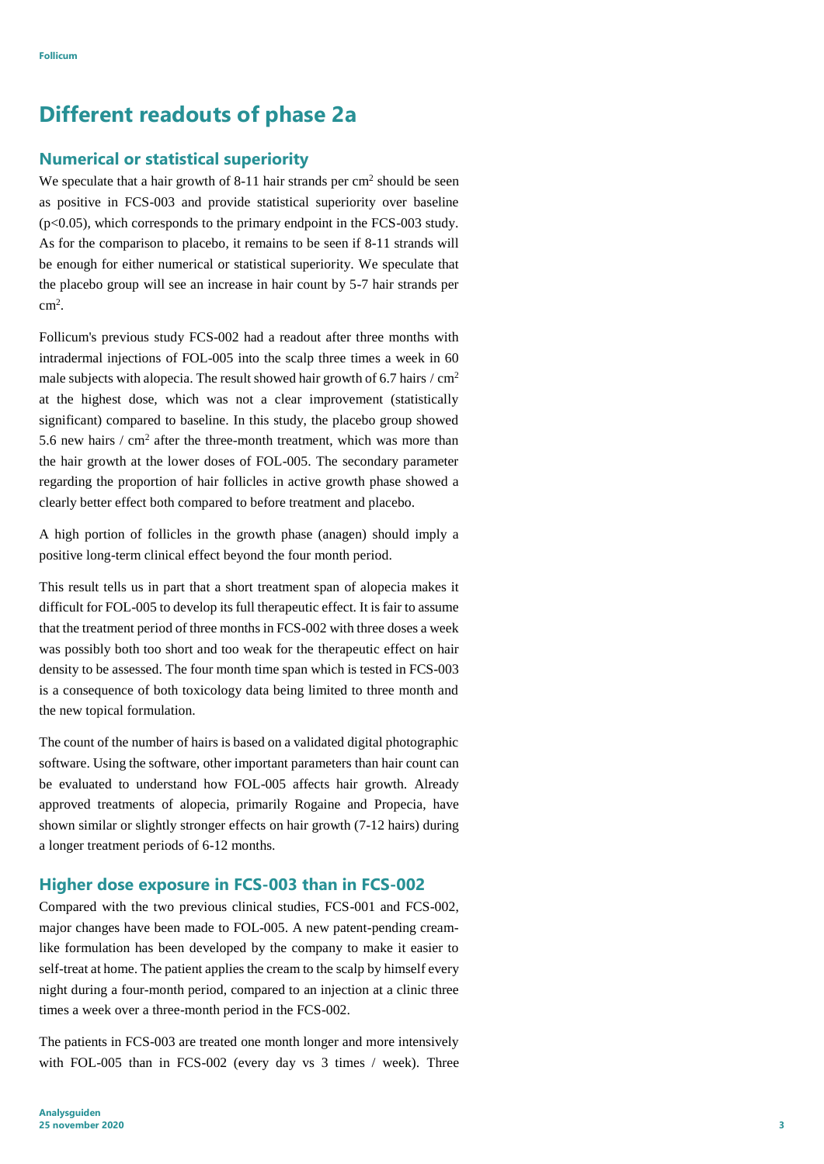# **Different readouts of phase 2a**

### **Numerical or statistical superiority**

We speculate that a hair growth of 8-11 hair strands per  $cm<sup>2</sup>$  should be seen as positive in FCS-003 and provide statistical superiority over baseline  $(p<0.05)$ , which corresponds to the primary endpoint in the FCS-003 study. As for the comparison to placebo, it remains to be seen if 8-11 strands will be enough for either numerical or statistical superiority. We speculate that the placebo group will see an increase in hair count by 5-7 hair strands per cm<sup>2</sup> .

Follicum's previous study FCS-002 had a readout after three months with intradermal injections of FOL-005 into the scalp three times a week in 60 male subjects with alopecia. The result showed hair growth of 6.7 hairs  $/$  cm<sup>2</sup> at the highest dose, which was not a clear improvement (statistically significant) compared to baseline. In this study, the placebo group showed 5.6 new hairs  $/$  cm<sup>2</sup> after the three-month treatment, which was more than the hair growth at the lower doses of FOL-005. The secondary parameter regarding the proportion of hair follicles in active growth phase showed a clearly better effect both compared to before treatment and placebo.

A high portion of follicles in the growth phase (anagen) should imply a positive long-term clinical effect beyond the four month period.

This result tells us in part that a short treatment span of alopecia makes it difficult for FOL-005 to develop its full therapeutic effect. It is fair to assume that the treatment period of three months in FCS-002 with three doses a week was possibly both too short and too weak for the therapeutic effect on hair density to be assessed. The four month time span which is tested in FCS-003 is a consequence of both toxicology data being limited to three month and the new topical formulation.

The count of the number of hairs is based on a validated digital photographic software. Using the software, other important parameters than hair count can be evaluated to understand how FOL-005 affects hair growth. Already approved treatments of alopecia, primarily Rogaine and Propecia, have shown similar or slightly stronger effects on hair growth (7-12 hairs) during a longer treatment periods of 6-12 months.

### **Higher dose exposure in FCS-003 than in FCS-002**

Compared with the two previous clinical studies, FCS-001 and FCS-002, major changes have been made to FOL-005. A new patent-pending creamlike formulation has been developed by the company to make it easier to self-treat at home. The patient applies the cream to the scalp by himself every night during a four-month period, compared to an injection at a clinic three times a week over a three-month period in the FCS-002.

The patients in FCS-003 are treated one month longer and more intensively with FOL-005 than in FCS-002 (every day vs 3 times / week). Three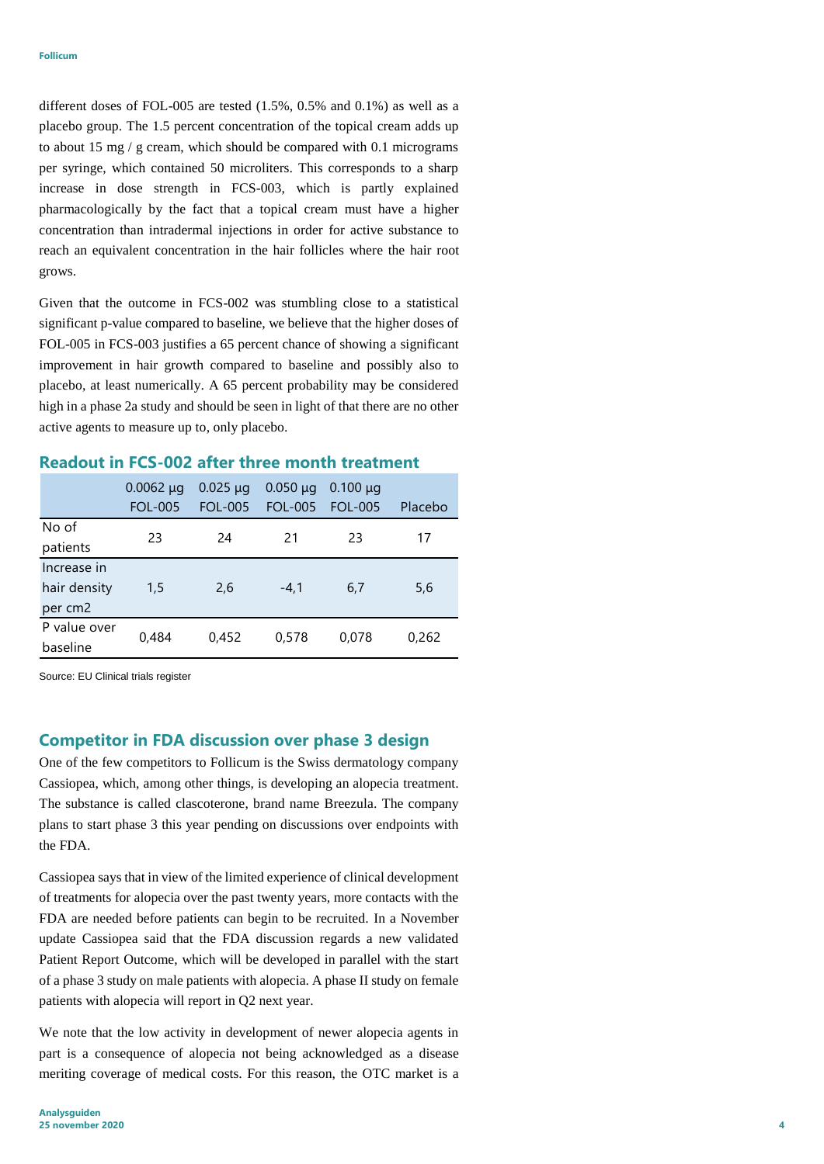different doses of FOL-005 are tested (1.5%, 0.5% and 0.1%) as well as a placebo group. The 1.5 percent concentration of the topical cream adds up to about 15 mg / g cream, which should be compared with 0.1 micrograms per syringe, which contained 50 microliters. This corresponds to a sharp increase in dose strength in FCS-003, which is partly explained pharmacologically by the fact that a topical cream must have a higher concentration than intradermal injections in order for active substance to reach an equivalent concentration in the hair follicles where the hair root grows.

Given that the outcome in FCS-002 was stumbling close to a statistical significant p-value compared to baseline, we believe that the higher doses of FOL-005 in FCS-003 justifies a 65 percent chance of showing a significant improvement in hair growth compared to baseline and possibly also to placebo, at least numerically. A 65 percent probability may be considered high in a phase 2a study and should be seen in light of that there are no other active agents to measure up to, only placebo.

### **Readout in FCS-002 after three month treatment**

|              | $0.0062 \mu g$<br><b>FOL-005</b> | $0.025 \mu q$<br><b>FOL-005</b> | $0.050 \mu q$<br><b>FOL-005</b> | $0.100 \mu q$<br><b>FOL-005</b> | Placebo |
|--------------|----------------------------------|---------------------------------|---------------------------------|---------------------------------|---------|
| No of        | 23                               | 24                              | 21                              | 23                              | 17      |
| patients     |                                  |                                 |                                 |                                 |         |
| Increase in  |                                  |                                 |                                 |                                 |         |
| hair density | 1,5                              | 2,6                             | $-4.1$                          | 6,7                             | 5,6     |
| per cm2      |                                  |                                 |                                 |                                 |         |
| P value over | 0,484                            | 0,452                           | 0,578                           | 0,078                           | 0,262   |
| baseline     |                                  |                                 |                                 |                                 |         |

Source: EU Clinical trials register

#### **Competitor in FDA discussion over phase 3 design**

One of the few competitors to Follicum is the Swiss dermatology company Cassiopea, which, among other things, is developing an alopecia treatment. The substance is called clascoterone, brand name Breezula. The company plans to start phase 3 this year pending on discussions over endpoints with the FDA.

Cassiopea says that in view of the limited experience of clinical development of treatments for alopecia over the past twenty years, more contacts with the FDA are needed before patients can begin to be recruited. In a November update Cassiopea said that the FDA discussion regards a new validated Patient Report Outcome, which will be developed in parallel with the start of a phase 3 study on male patients with alopecia. A phase II study on female patients with alopecia will report in Q2 next year.

We note that the low activity in development of newer alopecia agents in part is a consequence of alopecia not being acknowledged as a disease meriting coverage of medical costs. For this reason, the OTC market is a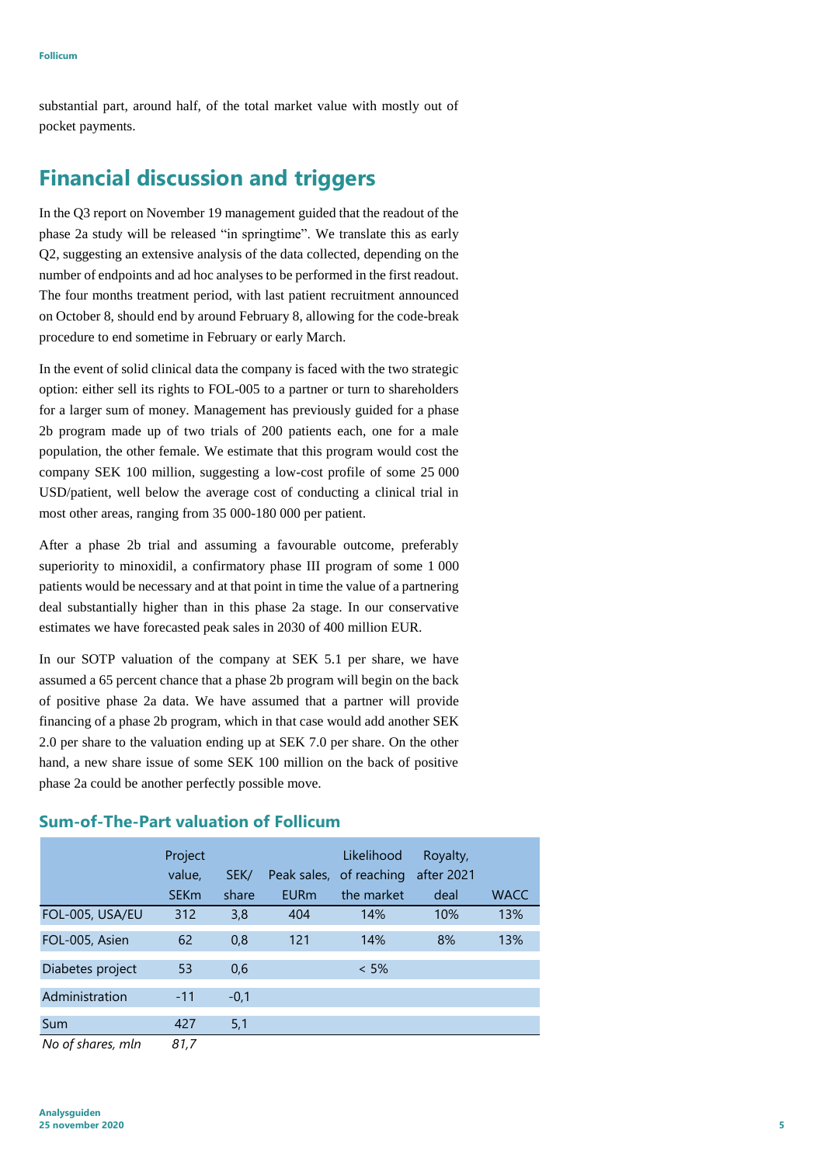substantial part, around half, of the total market value with mostly out of pocket payments.

# **Financial discussion and triggers**

In the Q3 report on November 19 management guided that the readout of the phase 2a study will be released "in springtime". We translate this as early Q2, suggesting an extensive analysis of the data collected, depending on the number of endpoints and ad hoc analyses to be performed in the first readout. The four months treatment period, with last patient recruitment announced on October 8, should end by around February 8, allowing for the code-break procedure to end sometime in February or early March.

In the event of solid clinical data the company is faced with the two strategic option: either sell its rights to FOL-005 to a partner or turn to shareholders for a larger sum of money. Management has previously guided for a phase 2b program made up of two trials of 200 patients each, one for a male population, the other female. We estimate that this program would cost the company SEK 100 million, suggesting a low-cost profile of some 25 000 USD/patient, well below the average cost of conducting a clinical trial in most other areas, ranging from 35 000-180 000 per patient.

After a phase 2b trial and assuming a favourable outcome, preferably superiority to minoxidil, a confirmatory phase III program of some 1 000 patients would be necessary and at that point in time the value of a partnering deal substantially higher than in this phase 2a stage. In our conservative estimates we have forecasted peak sales in 2030 of 400 million EUR.

In our SOTP valuation of the company at SEK 5.1 per share, we have assumed a 65 percent chance that a phase 2b program will begin on the back of positive phase 2a data. We have assumed that a partner will provide financing of a phase 2b program, which in that case would add another SEK 2.0 per share to the valuation ending up at SEK 7.0 per share. On the other hand, a new share issue of some SEK 100 million on the back of positive phase 2a could be another perfectly possible move.

|                                                              | Project<br>value, | SEK/   |             | Likelihood<br>Peak sales, of reaching | Royalty,<br>after 2021 |             |
|--------------------------------------------------------------|-------------------|--------|-------------|---------------------------------------|------------------------|-------------|
|                                                              | <b>SEKm</b>       | share  | <b>EURm</b> | the market                            | deal                   | <b>WACC</b> |
| FOL-005, USA/EU                                              | 312               | 3,8    | 404         | 14%                                   | 10%                    | 13%         |
| FOL-005, Asien                                               | 62                | 0,8    | 121         | 14%                                   | 8%                     | 13%         |
| Diabetes project                                             | 53                | 0,6    |             | $< 5\%$                               |                        |             |
| Administration                                               | $-11$             | $-0,1$ |             |                                       |                        |             |
| Sum                                                          | 427               | 5,1    |             |                                       |                        |             |
| $\mathbf{A}$ is the contract of the contract of $\mathbf{A}$ | 0.17              |        |             |                                       |                        |             |

#### **Sum-of-The-Part valuation of Follicum**

*No of shares, mln 81,7*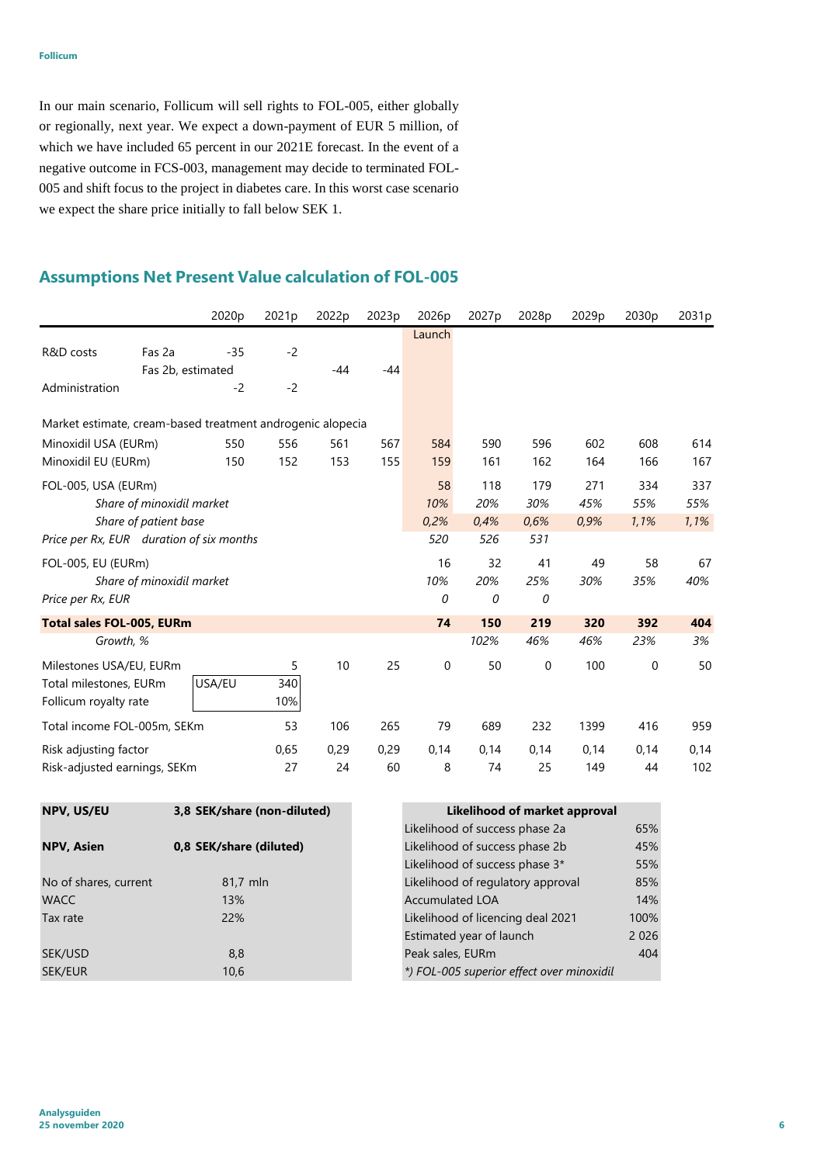In our main scenario, Follicum will sell rights to FOL-005, either globally or regionally, next year. We expect a down-payment of EUR 5 million, of which we have included 65 percent in our 2021E forecast. In the event of a negative outcome in FCS-003, management may decide to terminated FOL-005 and shift focus to the project in diabetes care. In this worst case scenario we expect the share price initially to fall below SEK 1.

### **Assumptions Net Present Value calculation of FOL-005**

|                                                            |                           | 2020 <sub>p</sub> | 2021 <sub>p</sub> | 2022p | 2023 <sub>p</sub> | 2026p  | 2027 <sub>p</sub> | 2028p     | 2029 <sub>p</sub> | 2030 <sub>p</sub> | 2031p |
|------------------------------------------------------------|---------------------------|-------------------|-------------------|-------|-------------------|--------|-------------------|-----------|-------------------|-------------------|-------|
|                                                            |                           |                   |                   |       |                   | Launch |                   |           |                   |                   |       |
| R&D costs                                                  | Fas 2a                    | $-35$             | $-2$              |       |                   |        |                   |           |                   |                   |       |
|                                                            | Fas 2b, estimated         |                   |                   | $-44$ | $-44$             |        |                   |           |                   |                   |       |
| Administration                                             |                           | $-2$              | $-2$              |       |                   |        |                   |           |                   |                   |       |
| Market estimate, cream-based treatment androgenic alopecia |                           |                   |                   |       |                   |        |                   |           |                   |                   |       |
| Minoxidil USA (EURm)                                       |                           | 550               | 556               | 561   | 567               | 584    | 590               | 596       | 602               | 608               | 614   |
| Minoxidil EU (EURm)                                        |                           | 150               | 152               | 153   | 155               | 159    | 161               | 162       | 164               | 166               | 167   |
| FOL-005, USA (EURm)                                        |                           |                   |                   |       |                   | 58     | 118               | 179       | 271               | 334               | 337   |
|                                                            | Share of minoxidil market |                   |                   |       |                   | 10%    | 20%               | 30%       | 45%               | 55%               | 55%   |
|                                                            | Share of patient base     |                   |                   |       |                   | 0.2%   | 0.4%              | 0,6%      | 0,9%              | 1,1%              | 1,1%  |
| Price per Rx, EUR duration of six months                   |                           |                   |                   |       |                   | 520    | 526               | 531       |                   |                   |       |
| FOL-005, EU (EURm)                                         |                           |                   |                   |       |                   | 16     | 32                | 41        | 49                | 58                | 67    |
|                                                            | Share of minoxidil market |                   |                   |       |                   | 10%    | 20%               | 25%       | 30%               | 35%               | 40%   |
| Price per Rx, EUR                                          |                           |                   |                   |       |                   | 0      | 0                 | 0         |                   |                   |       |
| <b>Total sales FOL-005, EURm</b>                           |                           |                   |                   |       |                   | 74     | 150               | 219       | 320               | 392               | 404   |
|                                                            | Growth, %                 |                   |                   |       |                   |        | 102%              | 46%       | 46%               | 23%               | 3%    |
| Milestones USA/EU, EURm                                    |                           |                   | 5                 | 10    | 25                | 0      | 50                | $\pmb{0}$ | 100               | 0                 | 50    |
| Total milestones, EURm                                     |                           | USA/EU            | 340               |       |                   |        |                   |           |                   |                   |       |
| Follicum royalty rate                                      |                           |                   | 10%               |       |                   |        |                   |           |                   |                   |       |
| Total income FOL-005m, SEKm                                |                           |                   | 53                | 106   | 265               | 79     | 689               | 232       | 1399              | 416               | 959   |
| Risk adjusting factor                                      |                           |                   | 0,65              | 0,29  | 0,29              | 0,14   | 0,14              | 0,14      | 0,14              | 0,14              | 0,14  |
| Risk-adjusted earnings, SEKm                               |                           |                   | 27                | 24    | 60                | 8      | 74                | 25        | 149               | 44                | 102   |

| NPV, US/EU            | 3,8 SEK/share (non-diluted) | Likelihood of market approval             |         |  |  |  |  |
|-----------------------|-----------------------------|-------------------------------------------|---------|--|--|--|--|
|                       |                             | Likelihood of success phase 2a            | 65%     |  |  |  |  |
| <b>NPV, Asien</b>     | 0,8 SEK/share (diluted)     | Likelihood of success phase 2b            | 45%     |  |  |  |  |
|                       |                             | Likelihood of success phase 3*            | 55%     |  |  |  |  |
| No of shares, current | 81,7 mln                    | Likelihood of regulatory approval         | 85%     |  |  |  |  |
| <b>WACC</b>           | 13%                         | <b>Accumulated LOA</b>                    | 14%     |  |  |  |  |
| Tax rate              | 22%                         | Likelihood of licencing deal 2021         | 100%    |  |  |  |  |
|                       |                             | Estimated year of launch                  | 2 0 2 6 |  |  |  |  |
| SEK/USD               | 8,8                         | Peak sales, EURm                          | 404     |  |  |  |  |
| SEK/EUR               | 10,6                        | *) FOL-005 superior effect over minoxidil |         |  |  |  |  |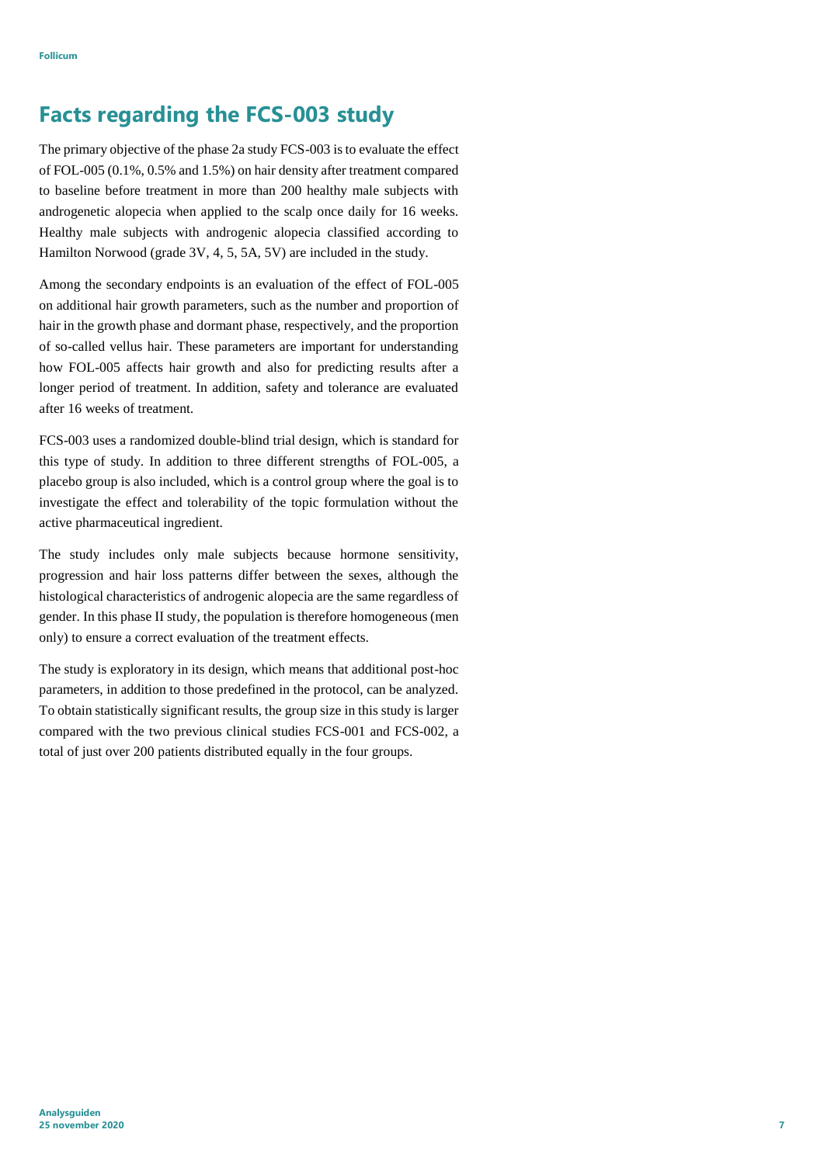# **Facts regarding the FCS-003 study**

The primary objective of the phase 2a study FCS-003 is to evaluate the effect of FOL-005 (0.1%, 0.5% and 1.5%) on hair density after treatment compared to baseline before treatment in more than 200 healthy male subjects with androgenetic alopecia when applied to the scalp once daily for 16 weeks. Healthy male subjects with androgenic alopecia classified according to Hamilton Norwood (grade 3V, 4, 5, 5A, 5V) are included in the study.

Among the secondary endpoints is an evaluation of the effect of FOL-005 on additional hair growth parameters, such as the number and proportion of hair in the growth phase and dormant phase, respectively, and the proportion of so-called vellus hair. These parameters are important for understanding how FOL-005 affects hair growth and also for predicting results after a longer period of treatment. In addition, safety and tolerance are evaluated after 16 weeks of treatment.

FCS-003 uses a randomized double-blind trial design, which is standard for this type of study. In addition to three different strengths of FOL-005, a placebo group is also included, which is a control group where the goal is to investigate the effect and tolerability of the topic formulation without the active pharmaceutical ingredient.

The study includes only male subjects because hormone sensitivity, progression and hair loss patterns differ between the sexes, although the histological characteristics of androgenic alopecia are the same regardless of gender. In this phase II study, the population is therefore homogeneous (men only) to ensure a correct evaluation of the treatment effects.

The study is exploratory in its design, which means that additional post-hoc parameters, in addition to those predefined in the protocol, can be analyzed. To obtain statistically significant results, the group size in this study is larger compared with the two previous clinical studies FCS-001 and FCS-002, a total of just over 200 patients distributed equally in the four groups.